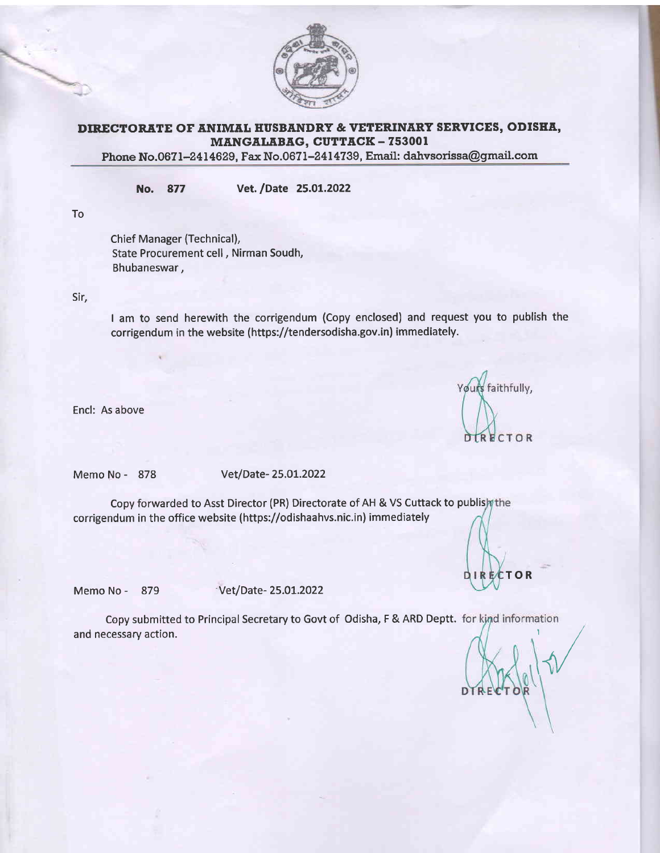

## DIRECTORATE OF ANIMAL HUSBANDRY & VETERINARY SERVICES, ODISHA, MANGALABAG, CUTTACK - 753001

Phone No.0671-2414629, Fax No.0671-2414739, Email: dahvsorissa@gmail.com

No. <sup>877</sup> vet. /Date 25.01.2022

To

Chief Manager (Technical), State Procurement cell , Nirman Soudh, Bhubaneswar,

Sir,

I am to send herewith the corrigendum (Copy enclosed) and request you to publish the corrigendum in the website (https://tendersodisha.gov.in) immediately.

Encl: As above

Yours faithfully, **DIRECTOR** 

Memo No - <sup>878</sup> Vet/Date- 25.O1.2022

Copy forwarded to Asst Director (PR) Directorate of AH & VS Cuttack to publish the corrigendum in the office website (https://odishaahvs.nic.in) immediately

DIRECTOR

Memo No - 879 Vet/Date- 25.01.2022

Copy submitted to Principal Secretary to Govt of Odisha, F & ARD Deptt. and necessary action.

,r/